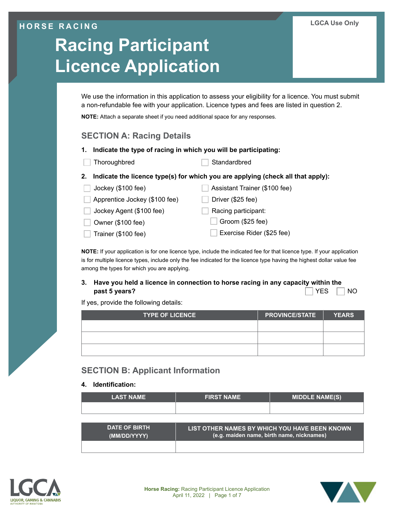# **HORSE RACING**

# **Racing Participant Licence Application**

We use the information in this application to assess your eligibility for a licence. You must submit a non-refundable fee with your application. Licence types and fees are listed in question 2.

**NOTE:** Attach a separate sheet if you need additional space for any responses.

# **SECTION A: Racing Details**

- **1. Indicate the type of racing in which you will be participating:**
- Thoroughbred Standardbred
- **2. Indicate the licence type(s) for which you are applying (check all that apply):**
- Jockey (\$100 fee) Assistant Trainer (\$100 fee)  $\Box$  Apprentice Jockey (\$100 fee)  $\Box$  Driver (\$25 fee) Jockey Agent (\$100 fee) Racing participant: Owner (\$100 fee) Groom (\$25 fee) Trainer (\$100 fee) Exercise Rider (\$25 fee)

**NOTE:** If your application is for one licence type, include the indicated fee for that licence type. If your application is for multiple licence types, include only the fee indicated for the licence type having the highest dollar value fee among the types for which you are applying.

## **3. Have you held a licence in connection to horse racing in any capacity within the past 5 years? Note that the set of the set of the set of the set of the set of the set of the set of the set of the set of the set of the set of the set of the set of the set of the set of the set of the set of the set**

If yes, provide the following details:

| <b>TYPE OF LICENCE</b> | <b>PROVINCE/STATE</b> | <b>YEARS</b> |
|------------------------|-----------------------|--------------|
|                        |                       |              |
|                        |                       |              |
|                        |                       |              |

# **SECTION B: Applicant Information**

#### **4. Identification:**

| <b>LAST NAME</b>                     | <b>FIRST NAME</b>                                                                          | <b>MIDDLE NAME(S)</b> |
|--------------------------------------|--------------------------------------------------------------------------------------------|-----------------------|
|                                      |                                                                                            |                       |
|                                      |                                                                                            |                       |
| <b>DATE OF BIRTH</b><br>(MM/DD/YYYY) | LIST OTHER NAMES BY WHICH YOU HAVE BEEN KNOWN<br>(e.g. maiden name, birth name, nicknames) |                       |
|                                      |                                                                                            |                       |





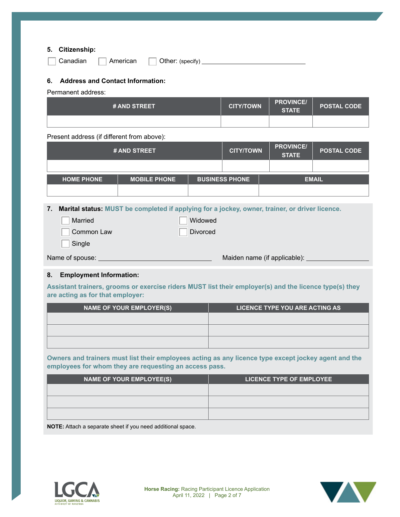#### **5. Citizenship:**

| Canadi |
|--------|
|--------|

an **American** Other: (specify) **CHACALLER** CONDEX CONDEX CONDEX CONDEX CONDEX CONDEX CONDEX CONDEX CONDEX CONDEX CONDEX CONDEX CONDEX CONDEX CONDEX CONDEX CONDEX CONDEX CONDEX CONDEX CONDEX CONDEX CONDEX CONDEX CONDEX COND

#### **6. Address and Contact Information:**

Permanent address:

| # AND STREET | <b>CITY/TOWN</b> | <b>PROVINCE/</b><br><b>STATE</b> | <b>POSTAL CODE</b> |
|--------------|------------------|----------------------------------|--------------------|
|              |                  |                                  |                    |

Present address (if different from above):

| # AND STREET      |                     |  | <b>CITY/TOWN</b>      | <b>PROVINCE/</b><br><b>STATE</b> | <b>POSTAL CODE</b> |
|-------------------|---------------------|--|-----------------------|----------------------------------|--------------------|
|                   |                     |  |                       |                                  |                    |
| <b>HOME PHONE</b> | <b>MOBILE PHONE</b> |  | <b>BUSINESS PHONE</b> |                                  | <b>EMAIL</b>       |
|                   |                     |  |                       |                                  |                    |

**7. Marital status: MUST be completed if applying for a jockey, owner, trainer, or driver licence.**

| Married         | Widowed  |                              |
|-----------------|----------|------------------------------|
| Common Law      | Divorced |                              |
| Single          |          |                              |
| Name of spouse: |          | Maiden name (if applicable): |
|                 |          |                              |

#### **8. Employment Information:**

**Assistant trainers, grooms or exercise riders MUST list their employer(s) and the licence type(s) they are acting as for that employer:**

| <b>NAME OF YOUR EMPLOYER(S)</b> | LICENCE TYPE YOU ARE ACTING AS |
|---------------------------------|--------------------------------|
|                                 |                                |
|                                 |                                |
|                                 |                                |

**Owners and trainers must list their employees acting as any licence type except jockey agent and the employees for whom they are requesting an access pass.**

| <b>NAME OF YOUR EMPLOYEE(S)</b>                                                 | <b>LICENCE TYPE OF EMPLOYEE</b> |
|---------------------------------------------------------------------------------|---------------------------------|
|                                                                                 |                                 |
|                                                                                 |                                 |
|                                                                                 |                                 |
| ALCOHOL: A the electronic service of the contract of the different contracts of |                                 |

**NOTE:** Attach a separate sheet if you need additional space.



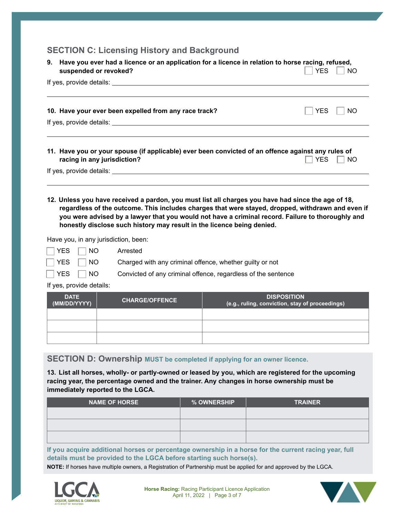# **SECTION C: Licensing History and Background**

| 9. | Have you ever had a licence or an application for a licence in relation to horse racing, refused,<br>suspended or revoked?                                                                                                     | <b>YES</b><br><b>NO</b> |
|----|--------------------------------------------------------------------------------------------------------------------------------------------------------------------------------------------------------------------------------|-------------------------|
|    | If yes, provide details: Letter and the set of the set of the set of the set of the set of the set of the set of the set of the set of the set of the set of the set of the set of the set of the set of the set of the set of |                         |
|    | 10. Have your ever been expelled from any race track?                                                                                                                                                                          | NO.<br>YES              |
|    | If yes, provide details: If yes are a series of year of the series of the series of the series of the series of the series of the series of the series of the series of the series of the series of the series of the series o |                         |
|    | 11. Have you or your spouse (if applicable) ever been convicted of an offence against any rules of<br>racing in any jurisdiction?                                                                                              | <b>YES</b><br><b>NO</b> |
|    |                                                                                                                                                                                                                                |                         |
|    |                                                                                                                                                                                                                                |                         |

**12. Unless you have received a pardon, you must list all charges you have had since the age of 18, regardless of the outcome. This includes charges that were stayed, dropped, withdrawn and even if you were advised by a lawyer that you would not have a criminal record. Failure to thoroughly and honestly disclose such history may result in the licence being denied.**

Have you, in any jurisdiction, been:

| ave you, in any junsuiction, been. |                                                                            |
|------------------------------------|----------------------------------------------------------------------------|
| TYES ■ NO Arrested                 |                                                                            |
|                                    | $\sqrt{1 + 2}$ NO Charged with any criminal offence, whether guilty or not |
| TVES TINO                          | Convicted of any criminal offense regardless of the sent                   |

**THES NO** Convicted of any criminal offence, regardless of the sentence

If yes, provide details:

| <b>DATE</b><br>(MM/DD/YYYY) | <b>CHARGE/OFFENCE</b> | <b>DISPOSITION</b><br>(e.g., ruling, conviction, stay of proceedings) |
|-----------------------------|-----------------------|-----------------------------------------------------------------------|
|                             |                       |                                                                       |
|                             |                       |                                                                       |
|                             |                       |                                                                       |

## **SECTION D: Ownership MUST be completed if applying for an owner licence.**

**13. List all horses, wholly- or partly-owned or leased by you, which are registered for the upcoming racing year, the percentage owned and the trainer. Any changes in horse ownership must be immediately reported to the LGCA.**

| <b>NAME OF HORSE</b> | % OWNERSHIP | <b>TRAINER</b> |
|----------------------|-------------|----------------|
|                      |             |                |
|                      |             |                |
|                      |             |                |

**If you acquire additional horses or percentage ownership in a horse for the current racing year, full details must be provided to the LGCA before starting such horse(s).**

**NOTE:** If horses have multiple owners, a Registration of Partnership must be applied for and approved by the LGCA.



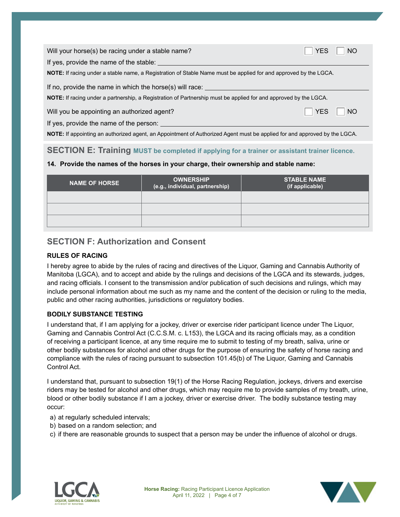| Will your horse(s) be racing under a stable name?                                                                         | <b>NO</b>               |  |  |
|---------------------------------------------------------------------------------------------------------------------------|-------------------------|--|--|
| If yes, provide the name of the stable:                                                                                   |                         |  |  |
| <b>NOTE:</b> If racing under a stable name, a Registration of Stable Name must be applied for and approved by the LGCA.   |                         |  |  |
| If no, provide the name in which the horse(s) will race:                                                                  |                         |  |  |
| <b>NOTE:</b> If racing under a partnership, a Registration of Partnership must be applied for and approved by the LGCA.   |                         |  |  |
| Will you be appointing an authorized agent?                                                                               | <b>NO</b><br><b>YES</b> |  |  |
| If yes, provide the name of the person:                                                                                   |                         |  |  |
| NOTE: If appointing an authorized agent, an Appointment of Authorized Agent must be applied for and approved by the LGCA. |                         |  |  |

## **SECTION E: Training MUST be completed if applying for a trainer or assistant trainer licence.**

#### **14. Provide the names of the horses in your charge, their ownership and stable name:**

| <b>NAME OF HORSE</b> | <b>OWNERSHIP</b><br>(e.g., individual, partnership) | <b>STABLE NAME</b><br>(if applicable) |
|----------------------|-----------------------------------------------------|---------------------------------------|
|                      |                                                     |                                       |
|                      |                                                     |                                       |
|                      |                                                     |                                       |

# **SECTION F: Authorization and Consent**

### **RULES OF RACING**

I hereby agree to abide by the rules of racing and directives of the Liquor, Gaming and Cannabis Authority of Manitoba (LGCA), and to accept and abide by the rulings and decisions of the LGCA and its stewards, judges, and racing officials. I consent to the transmission and/or publication of such decisions and rulings, which may include personal information about me such as my name and the content of the decision or ruling to the media, public and other racing authorities, jurisdictions or regulatory bodies.

## **BODILY SUBSTANCE TESTING**

I understand that, if I am applying for a jockey, driver or exercise rider participant licence under The Liquor, Gaming and Cannabis Control Act (C.C.S.M. c. L153), the LGCA and its racing officials may, as a condition of receiving a participant licence, at any time require me to submit to testing of my breath, saliva, urine or other bodily substances for alcohol and other drugs for the purpose of ensuring the safety of horse racing and compliance with the rules of racing pursuant to subsection 101.45(b) of The Liquor, Gaming and Cannabis Control Act.

I understand that, pursuant to subsection 19(1) of the Horse Racing Regulation, jockeys, drivers and exercise riders may be tested for alcohol and other drugs, which may require me to provide samples of my breath, urine, blood or other bodily substance if I am a jockey, driver or exercise driver. The bodily substance testing may occur:

- a) at regularly scheduled intervals;
- b) based on a random selection; and
- c) if there are reasonable grounds to suspect that a person may be under the influence of alcohol or drugs.



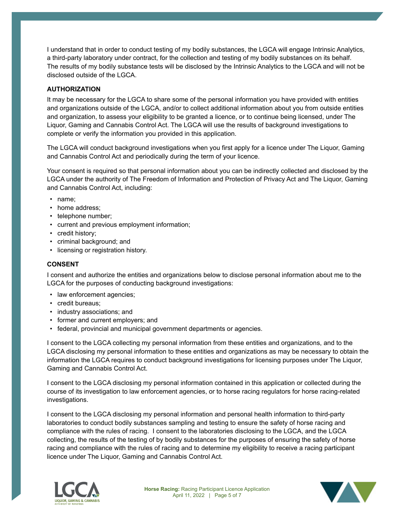I understand that in order to conduct testing of my bodily substances, the LGCA will engage Intrinsic Analytics, a third-party laboratory under contract, for the collection and testing of my bodily substances on its behalf. The results of my bodily substance tests will be disclosed by the Intrinsic Analytics to the LGCA and will not be disclosed outside of the LGCA.

#### **AUTHORIZATION**

It may be necessary for the LGCA to share some of the personal information you have provided with entities and organizations outside of the LGCA, and/or to collect additional information about you from outside entities and organization, to assess your eligibility to be granted a licence, or to continue being licensed, under The Liquor, Gaming and Cannabis Control Act. The LGCA will use the results of background investigations to complete or verify the information you provided in this application.

The LGCA will conduct background investigations when you first apply for a licence under The Liquor, Gaming and Cannabis Control Act and periodically during the term of your licence.

Your consent is required so that personal information about you can be indirectly collected and disclosed by the LGCA under the authority of The Freedom of Information and Protection of Privacy Act and The Liquor, Gaming and Cannabis Control Act, including:

- name;
- home address:
- telephone number;
- current and previous employment information;
- credit history;
- criminal background; and
- licensing or registration history.

#### **CONSENT**

I consent and authorize the entities and organizations below to disclose personal information about me to the LGCA for the purposes of conducting background investigations:

- law enforcement agencies;
- credit bureaus;
- industry associations; and
- former and current employers; and
- federal, provincial and municipal government departments or agencies.

I consent to the LGCA collecting my personal information from these entities and organizations, and to the LGCA disclosing my personal information to these entities and organizations as may be necessary to obtain the information the LGCA requires to conduct background investigations for licensing purposes under The Liquor, Gaming and Cannabis Control Act.

I consent to the LGCA disclosing my personal information contained in this application or collected during the course of its investigation to law enforcement agencies, or to horse racing regulators for horse racing-related investigations.

I consent to the LGCA disclosing my personal information and personal health information to third-party laboratories to conduct bodily substances sampling and testing to ensure the safety of horse racing and compliance with the rules of racing. I consent to the laboratories disclosing to the LGCA, and the LGCA collecting, the results of the testing of by bodily substances for the purposes of ensuring the safety of horse racing and compliance with the rules of racing and to determine my eligibility to receive a racing participant licence under The Liquor, Gaming and Cannabis Control Act.



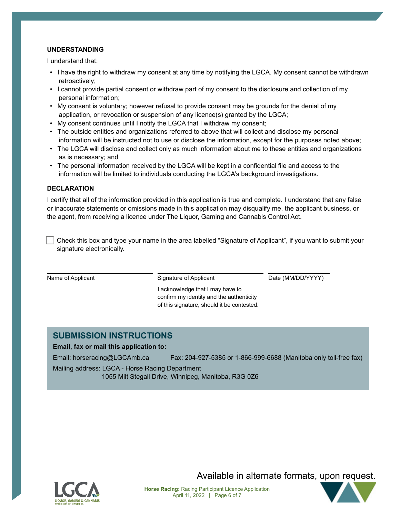#### **UNDERSTANDING**

I understand that:

- I have the right to withdraw my consent at any time by notifying the LGCA. My consent cannot be withdrawn retroactively;
- I cannot provide partial consent or withdraw part of my consent to the disclosure and collection of my personal information;
- My consent is voluntary; however refusal to provide consent may be grounds for the denial of my application, or revocation or suspension of any licence(s) granted by the LGCA;
- My consent continues until I notify the LGCA that I withdraw my consent;
- The outside entities and organizations referred to above that will collect and disclose my personal information will be instructed not to use or disclose the information, except for the purposes noted above;
- The LGCA will disclose and collect only as much information about me to these entities and organizations as is necessary; and
- The personal information received by the LGCA will be kept in a confidential file and access to the information will be limited to individuals conducting the LGCA's background investigations.

#### **DECLARATION**

I certify that all of the information provided in this application is true and complete. I understand that any false or inaccurate statements or omissions made in this application may disqualify me, the applicant business, or the agent, from receiving a licence under The Liquor, Gaming and Cannabis Control Act.

 Check this box and type your name in the area labelled "Signature of Applicant", if you want to submit your signature electronically.

Name of Applicant The Signature of Applicant The Date (MM/DD/YYYY)

I acknowledge that I may have to confirm my identity and the authenticity of this signature, should it be contested.

# **SUBMISSION INSTRUCTIONS**

#### **Email, fax or mail this application to:**

Email: horseracing@LGCAmb.ca Fax: 204-927-5385 or 1-866-999-6688 (Manitoba only toll-free fax)

Mailing address: LGCA - Horse Racing Department

1055 Milt Stegall Drive, Winnipeg, Manitoba, R3G 0Z6



Available in alternate formats, upon request.